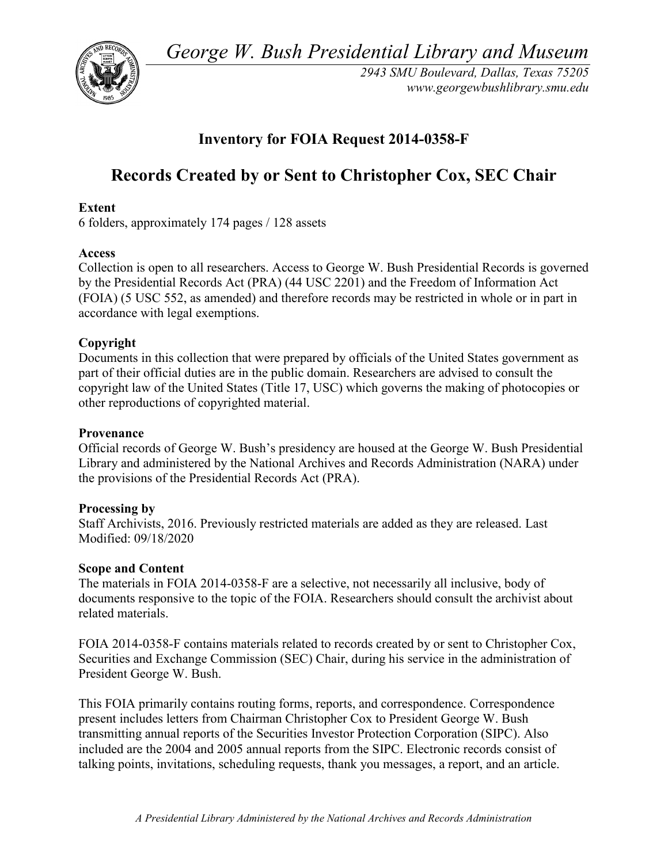*George W. Bush Presidential Library and Museum* 



 *2943 SMU Boulevard, Dallas, Texas 75205 <www.georgewbushlibrary.smu.edu>*

# **Inventory for FOIA Request 2014-0358-F**

# **Records Created by or Sent to Christopher Cox, SEC Chair**

# **Extent**

6 folders, approximately 174 pages / 128 assets

# **Access**

 by the Presidential Records Act (PRA) (44 USC 2201) and the Freedom of Information Act Collection is open to all researchers. Access to George W. Bush Presidential Records is governed (FOIA) (5 USC 552, as amended) and therefore records may be restricted in whole or in part in accordance with legal exemptions.

# **Copyright**

 Documents in this collection that were prepared by officials of the United States government as part of their official duties are in the public domain. Researchers are advised to consult the copyright law of the United States (Title 17, USC) which governs the making of photocopies or other reproductions of copyrighted material.

#### **Provenance**

 Official records of George W. Bush's presidency are housed at the George W. Bush Presidential Library and administered by the National Archives and Records Administration (NARA) under the provisions of the Presidential Records Act (PRA).

# **Processing by**

 Modified: 09/18/2020 Staff Archivists, 2016. Previously restricted materials are added as they are released. Last

# **Scope and Content**

The materials in FOIA 2014-0358-F are a selective, not necessarily all inclusive, body of documents responsive to the topic of the FOIA. Researchers should consult the archivist about related materials.

 FOIA 2014-0358-F contains materials related to records created by or sent to Christopher Cox, Securities and Exchange Commission (SEC) Chair, during his service in the administration of President George W. Bush.

 transmitting annual reports of the Securities Investor Protection Corporation (SIPC). Also This FOIA primarily contains routing forms, reports, and correspondence. Correspondence present includes letters from Chairman Christopher Cox to President George W. Bush included are the 2004 and 2005 annual reports from the SIPC. Electronic records consist of talking points, invitations, scheduling requests, thank you messages, a report, and an article.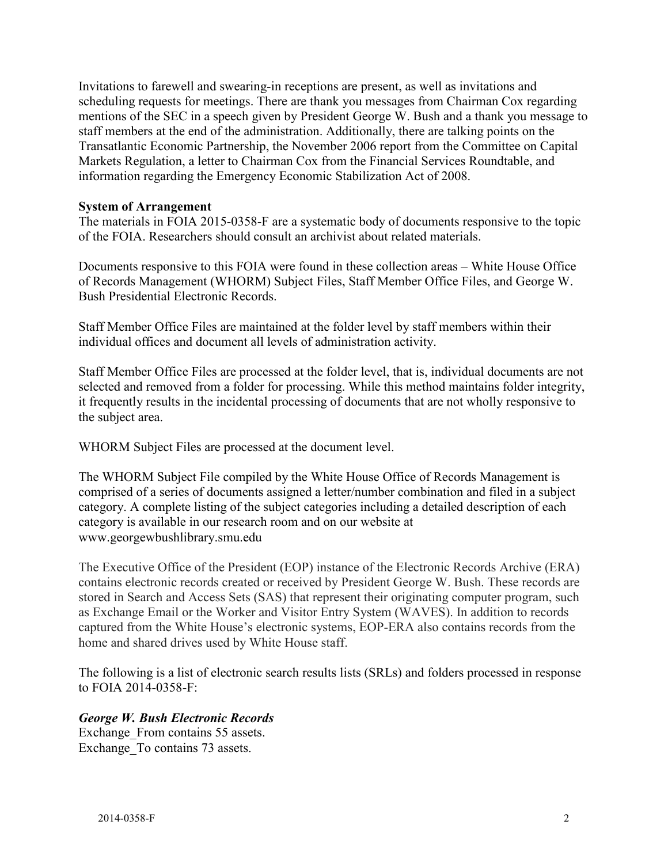staff members at the end of the administration. Additionally, there are talking points on the Invitations to farewell and swearing-in receptions are present, as well as invitations and scheduling requests for meetings. There are thank you messages from Chairman Cox regarding mentions of the SEC in a speech given by President George W. Bush and a thank you message to Transatlantic Economic Partnership, the November 2006 report from the Committee on Capital Markets Regulation, a letter to Chairman Cox from the Financial Services Roundtable, and information regarding the Emergency Economic Stabilization Act of 2008.

#### **System of Arrangement**

 The materials in FOIA 2015-0358-F are a systematic body of documents responsive to the topic of the FOIA. Researchers should consult an archivist about related materials.

Documents responsive to this FOIA were found in these collection areas – White House Office of Records Management (WHORM) Subject Files, Staff Member Office Files, and George W. Bush Presidential Electronic Records.

Staff Member Office Files are maintained at the folder level by staff members within their individual offices and document all levels of administration activity.

Staff Member Office Files are processed at the folder level, that is, individual documents are not selected and removed from a folder for processing. While this method maintains folder integrity, it frequently results in the incidental processing of documents that are not wholly responsive to the subject area.

WHORM Subject Files are processed at the document level.

The WHORM Subject File compiled by the White House Office of Records Management is comprised of a series of documents assigned a letter/number combination and filed in a subject category. A complete listing of the subject categories including a detailed description of each category is available in our research room and on our website at <www.georgewbushlibrary.smu.edu>

The Executive Office of the President (EOP) instance of the Electronic Records Archive (ERA) contains electronic records created or received by President George W. Bush. These records are stored in Search and Access Sets (SAS) that represent their originating computer program, such as Exchange Email or the Worker and Visitor Entry System (WAVES). In addition to records captured from the White House's electronic systems, EOP-ERA also contains records from the home and shared drives used by White House staff.

 The following is a list of electronic search results lists (SRLs) and folders processed in response to FOIA 2014-0358-F:

#### *George W. Bush Electronic Records*

Exchange From contains 55 assets. Exchange\_To contains 73 assets.